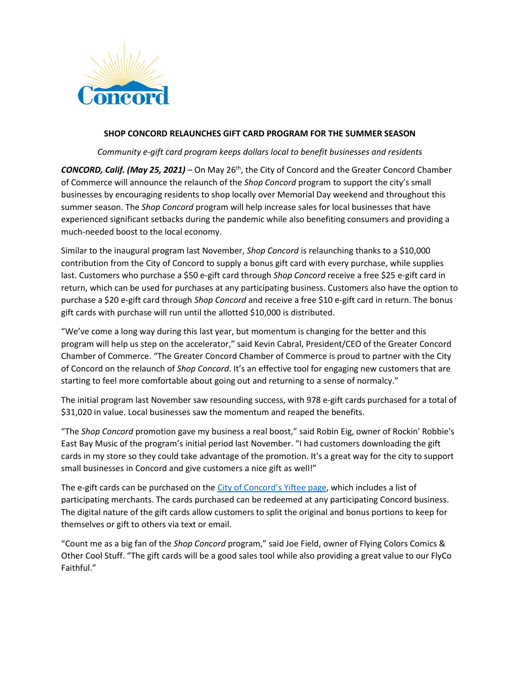

## **SHOP CONCORD RELAUNCHES GIFT CARD PROGRAM FOR THE SUMMER SEASON**

*Community e-gift card program keeps dollars local to benefit businesses and residents*

**CONCORD, Calif. (May 25, 2021)** – On May 26<sup>th</sup>, the City of Concord and the Greater Concord Chamber of Commerce will announce the relaunch of the *Shop Concord* program to support the city's small businesses by encouraging residents to shop locally over Memorial Day weekend and throughout this summer season. The *Shop Concord* program will help increase sales for local businesses that have experienced significant setbacks during the pandemic while also benefiting consumers and providing a much-needed boost to the local economy.

Similar to the inaugural program last November, *Shop Concord* is relaunching thanks to a \$10,000 contribution from the City of Concord to supply a bonus gift card with every purchase, while supplies last. Customers who purchase a \$50 e-gift card through *Shop Concord* receive a free \$25 e-gift card in return, which can be used for purchases at any participating business. Customers also have the option to purchase a \$20 e-gift card through *Shop Concord* and receive a free \$10 e-gift card in return. The bonus gift cards with purchase will run until the allotted \$10,000 is distributed.

"We've come a long way during this last year, but momentum is changing for the better and this program will help us step on the accelerator," said Kevin Cabral, President/CEO of the Greater Concord Chamber of Commerce. "The Greater Concord Chamber of Commerce is proud to partner with the City of Concord on the relaunch of *Shop Concord*. It's an effective tool for engaging new customers that are starting to feel more comfortable about going out and returning to a sense of normalcy."

The initial program last November saw resounding success, with 978 e-gift cards purchased for a total of \$31,020 in value. Local businesses saw the momentum and reaped the benefits.

"The *Shop Concord* promotion gave my business a real boost," said Robin Eig, owner of Rockin' Robbie's East Bay Music of the program's initial period last November. "I had customers downloading the gift cards in my store so they could take advantage of the promotion. It's a great way for the city to support small businesses in Concord and give customers a nice gift as well!"

The e-gift cards can be purchased on the [City of Concord's](https://app.yiftee.com/gift-card/concord) Yiftee page, which includes a list of participating merchants. The cards purchased can be redeemed at any participating Concord business. The digital nature of the gift cards allow customers to split the original and bonus portions to keep for themselves or gift to others via text or email.

"Count me as a big fan of the *Shop Concord* program," said Joe Field, owner of Flying Colors Comics & Other Cool Stuff. "The gift cards will be a good sales tool while also providing a great value to our FlyCo Faithful."